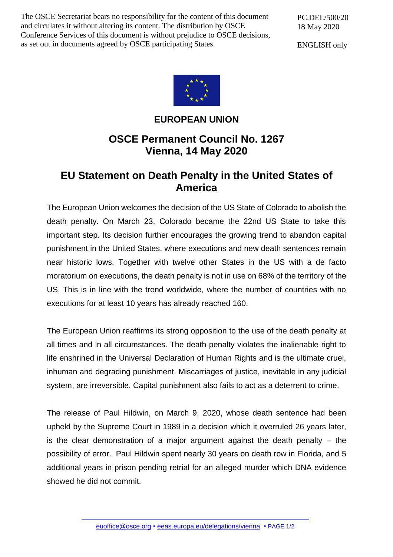The OSCE Secretariat bears no responsibility for the content of this document and circulates it without altering its content. The distribution by OSCE Conference Services of this document is without prejudice to OSCE decisions, as set out in documents agreed by OSCE participating States.

PC.DEL/500/20 18 May 2020

ENGLISH only



## **EUROPEAN UNION**

## **OSCE Permanent Council No. 1267 Vienna, 14 May 2020**

## **EU Statement on Death Penalty in the United States of America**

The European Union welcomes the decision of the US State of Colorado to abolish the death penalty. On March 23, Colorado became the 22nd US State to take this important step. Its decision further encourages the growing trend to abandon capital punishment in the United States, where executions and new death sentences remain near historic lows. Together with twelve other States in the US with a de facto moratorium on executions, the death penalty is not in use on 68% of the territory of the US. This is in line with the trend worldwide, where the number of countries with no executions for at least 10 years has already reached 160.

The European Union reaffirms its strong opposition to the use of the death penalty at all times and in all circumstances. The death penalty violates the inalienable right to life enshrined in the Universal Declaration of Human Rights and is the ultimate cruel, inhuman and degrading punishment. Miscarriages of justice, inevitable in any judicial system, are irreversible. Capital punishment also fails to act as a deterrent to crime.

The release of Paul Hildwin, on March 9, 2020, whose death sentence had been upheld by the Supreme Court in 1989 in a decision which it overruled 26 years later, is the clear demonstration of a major argument against the death penalty  $-$  the possibility of error. Paul Hildwin spent nearly 30 years on death row in Florida, and 5 additional years in prison pending retrial for an alleged murder which DNA evidence showed he did not commit.